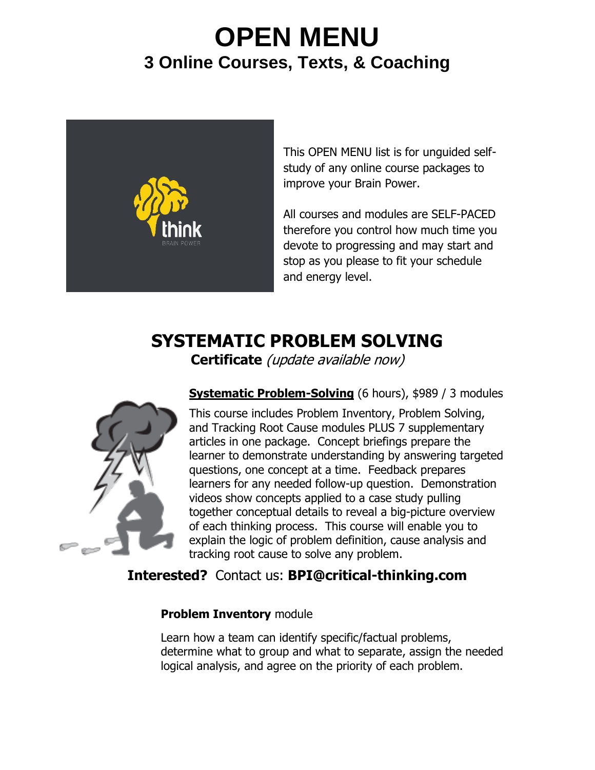# **OPEN MENU 3 Online Courses, Texts, & Coaching**



This OPEN MENU list is for unguided selfstudy of any online course packages to improve your Brain Power.

All courses and modules are SELF-PACED therefore you control how much time you devote to progressing and may start and stop as you please to fit your schedule and energy level.

## **SYSTEMATIC PROBLEM SOLVING**

**Certificate** (update available now)



**Systematic Problem-Solving** (6 hours), \$989 / 3 modules

This course includes Problem Inventory, Problem Solving, and Tracking Root Cause modules PLUS 7 supplementary articles in one package. Concept briefings prepare the learner to demonstrate understanding by answering targeted questions, one concept at a time. Feedback prepares learners for any needed follow-up question. Demonstration videos show concepts applied to a case study pulling together conceptual details to reveal a big-picture overview of each thinking process. This course will enable you to explain the logic of problem definition, cause analysis and tracking root cause to solve any problem.

### **Interested?** Contact us: **BPI@critical-thinking.com**

#### **Problem Inventory** module

Learn how a team can identify specific/factual problems, determine what to group and what to separate, assign the needed logical analysis, and agree on the priority of each problem.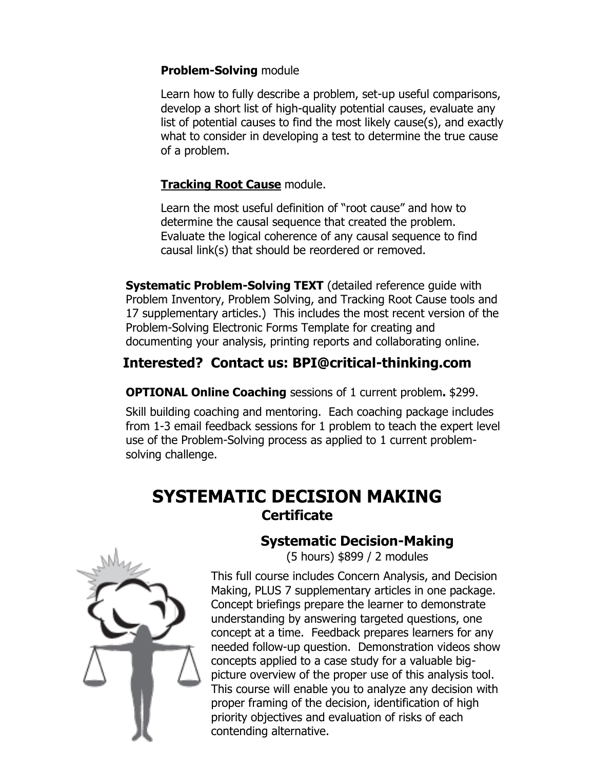#### **Problem-Solving** module

Learn how to fully describe a problem, set-up useful comparisons, develop a short list of high-quality potential causes, evaluate any list of potential causes to find the most likely cause(s), and exactly what to consider in developing a test to determine the true cause of a problem.

#### **Tracking Root Cause** module.

Learn the most useful definition of "root cause" and how to determine the causal sequence that created the problem. Evaluate the logical coherence of any causal sequence to find causal link(s) that should be reordered or removed.

**Systematic Problem-Solving TEXT** (detailed reference quide with Problem Inventory, Problem Solving, and Tracking Root Cause tools and 17 supplementary articles.) This includes the most recent version of the Problem-Solving Electronic Forms Template for creating and documenting your analysis, printing reports and collaborating online.

## **Interested? Contact us: BPI@critical-thinking.com**

**OPTIONAL Online Coaching** sessions of 1 current problem**.** \$299.

Skill building coaching and mentoring. Each coaching package includes from 1-3 email feedback sessions for 1 problem to teach the expert level use of the Problem-Solving process as applied to 1 current problemsolving challenge.

## **SYSTEMATIC DECISION MAKING Certificate**



## **Systematic Decision-Making**

(5 hours) \$899 / 2 modules

This full course includes Concern Analysis, and Decision Making, PLUS 7 supplementary articles in one package. Concept briefings prepare the learner to demonstrate understanding by answering targeted questions, one concept at a time. Feedback prepares learners for any needed follow-up question. Demonstration videos show concepts applied to a case study for a valuable bigpicture overview of the proper use of this analysis tool. This course will enable you to analyze any decision with proper framing of the decision, identification of high priority objectives and evaluation of risks of each contending alternative.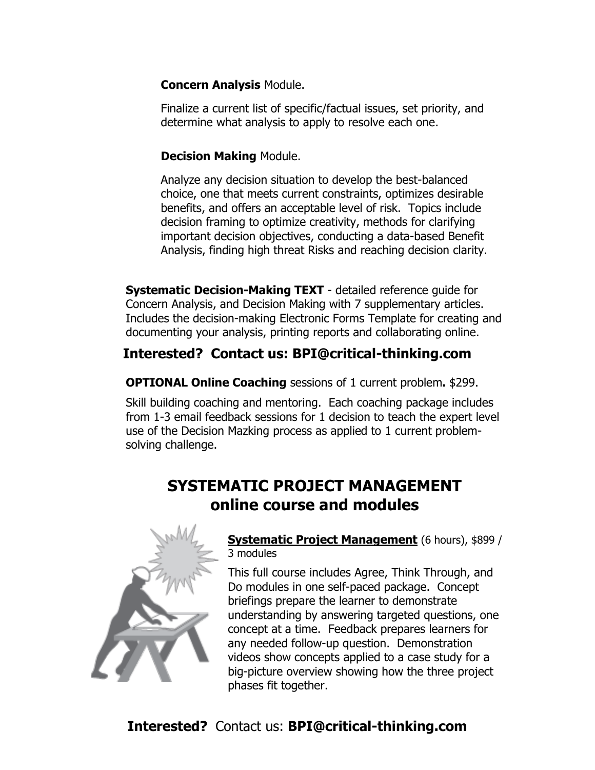#### **Concern Analysis** Module.

Finalize a current list of specific/factual issues, set priority, and determine what analysis to apply to resolve each one.

#### **Decision Making** Module.

Analyze any decision situation to develop the best-balanced choice, one that meets current constraints, optimizes desirable benefits, and offers an acceptable level of risk. Topics include decision framing to optimize creativity, methods for clarifying important decision objectives, conducting a data-based Benefit Analysis, finding high threat Risks and reaching decision clarity.

**Systematic Decision-Making TEXT** - detailed reference guide for Concern Analysis, and Decision Making with 7 supplementary articles. Includes the decision-making Electronic Forms Template for creating and documenting your analysis, printing reports and collaborating online.

## **Interested? Contact us: BPI@critical-thinking.com**

**OPTIONAL Online Coaching** sessions of 1 current problem**.** \$299.

Skill building coaching and mentoring. Each coaching package includes from 1-3 email feedback sessions for 1 decision to teach the expert level use of the Decision Mazking process as applied to 1 current problemsolving challenge.

## **SYSTEMATIC PROJECT MANAGEMENT online course and modules**



#### **Systematic Project Management** (6 hours), \$899 / 3 modules

This full course includes Agree, Think Through, and Do modules in one self-paced package. Concept briefings prepare the learner to demonstrate understanding by answering targeted questions, one concept at a time. Feedback prepares learners for any needed follow-up question. Demonstration videos show concepts applied to a case study for a big-picture overview showing how the three project phases fit together.